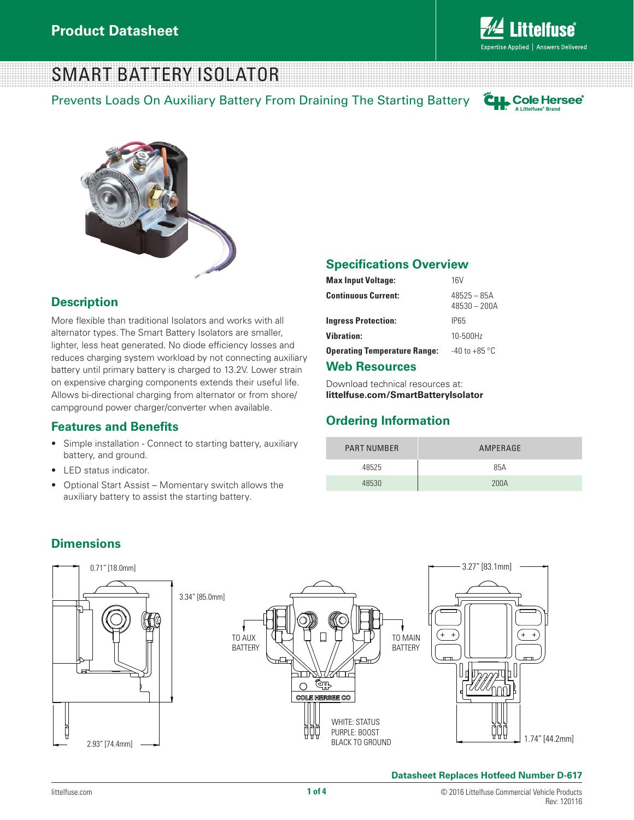

## SMART BATTERY ISOLATOR

Prevents Loads On Auxiliary Battery From Draining The Starting Battery





### **Description**

More flexible than traditional Isolators and works with all alternator types. The Smart Battery Isolators are smaller, lighter, less heat generated. No diode efficiency losses and reduces charging system workload by not connecting auxiliary battery until primary battery is charged to 13.2V. Lower strain on expensive charging components extends their useful life. Allows bi-directional charging from alternator or from shore/ campground power charger/converter when available.

#### **Features and Benefits**

- Simple installation Connect to starting battery, auxiliary battery, and ground.
- LED status indicator.
- Optional Start Assist Momentary switch allows the auxiliary battery to assist the starting battery.

#### **Specifications Overview**

| <b>Max Input Voltage:</b>           | 16V                             |
|-------------------------------------|---------------------------------|
| <b>Continuous Current:</b>          | $48525 - 85A$<br>$48530 - 200A$ |
| <b>Ingress Protection:</b>          | IP65                            |
| <b>Vibration:</b>                   | 10-500Hz                        |
| <b>Operating Temperature Range:</b> | $-40$ to $+85$ °C               |
|                                     |                                 |

#### **Web Resources**

Download technical resources at: **littelfuse.com/SmartBatteryIsolator**

### **Ordering Information**

| <b>PART NUMBER</b> | AMPERAGE |
|--------------------|----------|
| 48525              | 85A      |
| 48530              | 200A     |



### **Dimensions**

#### **Datasheet Replaces Hotfeed Number D-617**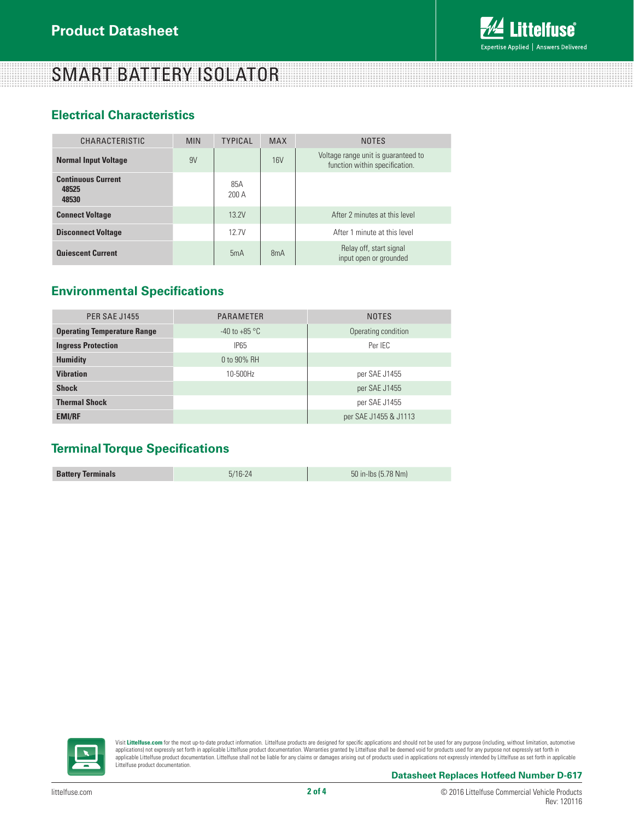### **ittelfuse** Expertise Applied | Answers Delivered

# SMART BATTERY ISOLATOR

### **Electrical Characteristics**

| CHARACTERISTIC                              | <b>MIN</b> | <b>TYPICAL</b> | <b>MAX</b> | <b>NOTES</b>                                                          |
|---------------------------------------------|------------|----------------|------------|-----------------------------------------------------------------------|
| <b>Normal Input Voltage</b>                 | 9V         |                | 16V        | Voltage range unit is guaranteed to<br>function within specification. |
| <b>Continuous Current</b><br>48525<br>48530 |            | 85A<br>200A    |            |                                                                       |
| <b>Connect Voltage</b>                      |            | 13 2V          |            | After 2 minutes at this level                                         |
| <b>Disconnect Voltage</b>                   |            | 12.7V          |            | After 1 minute at this level                                          |
| <b>Quiescent Current</b>                    |            | 5mA            | 8mA        | Relay off, start signal<br>input open or grounded                     |

### **Environmental Specifications**

| <b>PER SAE J1455</b>               | <b>PARAMETER</b>  | <b>NOTES</b>          |
|------------------------------------|-------------------|-----------------------|
| <b>Operating Temperature Range</b> | $-40$ to $+85$ °C | Operating condition   |
| <b>Ingress Protection</b>          | <b>IP65</b>       | Per IEC               |
| <b>Humidity</b>                    | 0 to 90% RH       |                       |
| <b>Vibration</b>                   | 10-500Hz          | per SAE J1455         |
| <b>Shock</b>                       |                   | per SAE J1455         |
| <b>Thermal Shock</b>               |                   | per SAE J1455         |
| <b>EMI/RF</b>                      |                   | per SAE J1455 & J1113 |

### **Terminal Torque Specifications**

| <b>Battery Terminals</b> | $5/16 - 24$ | 50 in-lbs (5.78 Nm) |
|--------------------------|-------------|---------------------|



Visit **Littelfuse.com** for the most up-to-date product information. Littelfuse products are designed for specific applications and should not be used for any purpose (including, without limitation, automotive applications) not expressly set forth in applicable Littelfuse product documentation. Warranties granted by Littelfuse shall be deemed void for products used for any purpose not expressly set forth in<br>applicable Littelfuse Littelfuse product documentation.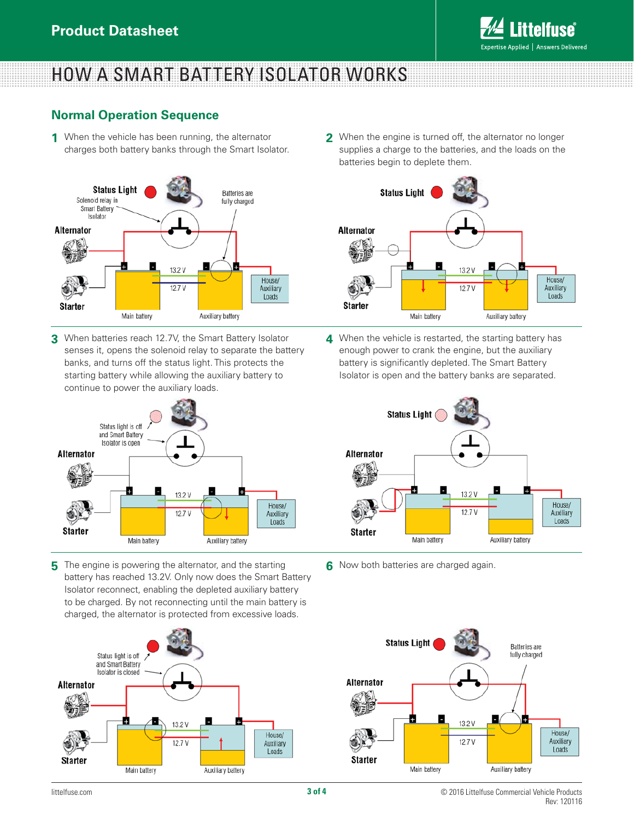

# HOW A SMART BATTERY ISOLATOR WORKS

### **Normal Operation Sequence**

When the vehicle has been running, the alternator **1** charges both battery banks through the Smart Isolator.



**3** When batteries reach 12.7V, the Smart Battery Isolator senses it, opens the solenoid relay to separate the battery banks, and turns off the status light. This protects the starting battery while allowing the auxiliary battery to continue to power the auxiliary loads.



**5** The engine is powering the alternator, and the starting battery has reached 13.2V. Only now does the Smart Battery Isolator reconnect, enabling the depleted auxiliary battery to be charged. By not reconnecting until the main battery is charged, the alternator is protected from excessive loads.



When the engine is turned off, the alternator no longer **2** supplies a charge to the batteries, and the loads on the batteries begin to deplete them.



When the vehicle is restarted, the starting battery has **4** enough power to crank the engine, but the auxiliary battery is significantly depleted. The Smart Battery Isolator is open and the battery banks are separated.



Now both batteries are charged again. **6**